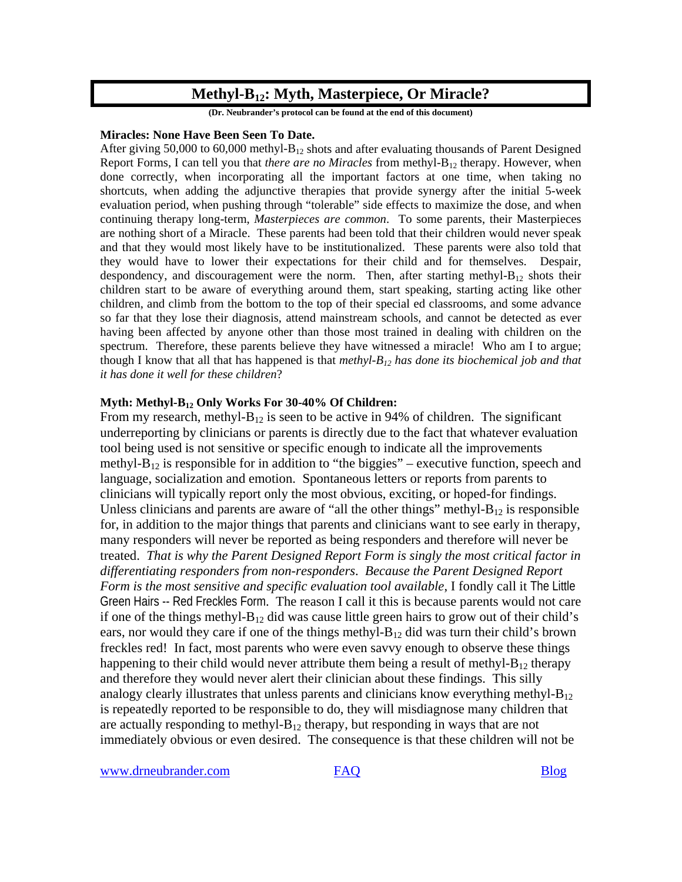# **Methyl-B12: Myth, Masterpiece, Or Miracle?**

**(Dr. Neubrander's protocol can be found at the end of this document)** 

#### **Miracles: None Have Been Seen To Date.**

After giving 50,000 to 60,000 methyl- $B_{12}$  shots and after evaluating thousands of Parent Designed Report Forms, I can tell you that *there are no Miracles* from methyl-B<sub>12</sub> therapy. However, when done correctly, when incorporating all the important factors at one time, when taking no shortcuts, when adding the adjunctive therapies that provide synergy after the initial 5-week evaluation period, when pushing through "tolerable" side effects to maximize the dose, and when continuing therapy long-term, *Masterpieces are common*. To some parents, their Masterpieces are nothing short of a Miracle. These parents had been told that their children would never speak and that they would most likely have to be institutionalized. These parents were also told that they would have to lower their expectations for their child and for themselves. Despair, despondency, and discouragement were the norm. Then, after starting methyl- $B_{12}$  shots their children start to be aware of everything around them, start speaking, starting acting like other children, and climb from the bottom to the top of their special ed classrooms, and some advance so far that they lose their diagnosis, attend mainstream schools, and cannot be detected as ever having been affected by anyone other than those most trained in dealing with children on the spectrum. Therefore, these parents believe they have witnessed a miracle! Who am I to argue; though I know that all that has happened is that *methyl-B12 has done its biochemical job and that it has done it well for these children*?

#### **Myth: Methyl-B12 Only Works For 30-40% Of Children:**

From my research, methyl- $B_{12}$  is seen to be active in 94% of children. The significant underreporting by clinicians or parents is directly due to the fact that whatever evaluation tool being used is not sensitive or specific enough to indicate all the improvements methyl- $B_{12}$  is responsible for in addition to "the biggies" – executive function, speech and language, socialization and emotion. Spontaneous letters or reports from parents to clinicians will typically report only the most obvious, exciting, or hoped-for findings. Unless clinicians and parents are aware of "all the other things" methyl- $B_{12}$  is responsible for, in addition to the major things that parents and clinicians want to see early in therapy, many responders will never be reported as being responders and therefore will never be treated. *That is why the Parent Designed Report Form is singly the most critical factor in differentiating responders from non-responders*. *Because the Parent Designed Report Form is the most sensitive and specific evaluation tool available*, I fondly call it The Little Green Hairs -- Red Freckles Form. The reason I call it this is because parents would not care if one of the things methyl- $B_{12}$  did was cause little green hairs to grow out of their child's ears, nor would they care if one of the things methyl- $B_{12}$  did was turn their child's brown freckles red! In fact, most parents who were even savvy enough to observe these things happening to their child would never attribute them being a result of methyl- $B_{12}$  therapy and therefore they would never alert their clinician about these findings. This silly analogy clearly illustrates that unless parents and clinicians know everything methyl- $B_{12}$ is repeatedly reported to be responsible to do, they will misdiagnose many children that are actually responding to methyl- $B_{12}$  therapy, but responding in ways that are not immediately obvious or even desired. The consequence is that these children will not be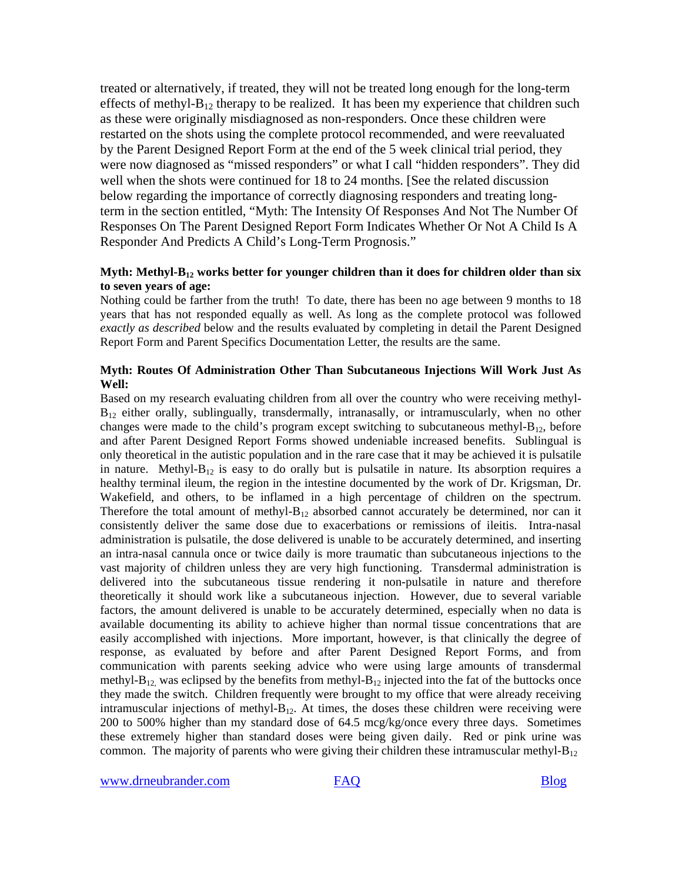treated or alternatively, if treated, they will not be treated long enough for the long-term effects of methyl- $B_{12}$  therapy to be realized. It has been my experience that children such as these were originally misdiagnosed as non-responders. Once these children were restarted on the shots using the complete protocol recommended, and were reevaluated by the Parent Designed Report Form at the end of the 5 week clinical trial period, they were now diagnosed as "missed responders" or what I call "hidden responders". They did well when the shots were continued for 18 to 24 months. [See the related discussion below regarding the importance of correctly diagnosing responders and treating longterm in the section entitled, "Myth: The Intensity Of Responses And Not The Number Of Responses On The Parent Designed Report Form Indicates Whether Or Not A Child Is A Responder And Predicts A Child's Long-Term Prognosis."

### **Myth: Methyl-B12 works better for younger children than it does for children older than six to seven years of age:**

Nothing could be farther from the truth! To date, there has been no age between 9 months to 18 years that has not responded equally as well. As long as the complete protocol was followed *exactly as described* below and the results evaluated by completing in detail the Parent Designed Report Form and Parent Specifics Documentation Letter, the results are the same.

### **Myth: Routes Of Administration Other Than Subcutaneous Injections Will Work Just As Well:**

Based on my research evaluating children from all over the country who were receiving methyl- $B_{12}$  either orally, sublingually, transdermally, intranasally, or intramuscularly, when no other changes were made to the child's program except switching to subcutaneous methyl- $B_{12}$ , before and after Parent Designed Report Forms showed undeniable increased benefits. Sublingual is only theoretical in the autistic population and in the rare case that it may be achieved it is pulsatile in nature. Methyl- $B_{12}$  is easy to do orally but is pulsatile in nature. Its absorption requires a healthy terminal ileum, the region in the intestine documented by the work of Dr. Krigsman, Dr. Wakefield, and others, to be inflamed in a high percentage of children on the spectrum. Therefore the total amount of methyl- $B_{12}$  absorbed cannot accurately be determined, nor can it consistently deliver the same dose due to exacerbations or remissions of ileitis. Intra-nasal administration is pulsatile, the dose delivered is unable to be accurately determined, and inserting an intra-nasal cannula once or twice daily is more traumatic than subcutaneous injections to the vast majority of children unless they are very high functioning. Transdermal administration is delivered into the subcutaneous tissue rendering it non-pulsatile in nature and therefore theoretically it should work like a subcutaneous injection. However, due to several variable factors, the amount delivered is unable to be accurately determined, especially when no data is available documenting its ability to achieve higher than normal tissue concentrations that are easily accomplished with injections. More important, however, is that clinically the degree of response, as evaluated by before and after Parent Designed Report Forms, and from communication with parents seeking advice who were using large amounts of transdermal methyl-B<sub>12</sub>, was eclipsed by the benefits from methyl-B<sub>12</sub> injected into the fat of the buttocks once they made the switch. Children frequently were brought to my office that were already receiving intramuscular injections of methyl- $B_{12}$ . At times, the doses these children were receiving were 200 to 500% higher than my standard dose of 64.5 mcg/kg/once every three days. Sometimes these extremely higher than standard doses were being given daily. Red or pink urine was common. The majority of parents who were giving their children these intramuscular methyl- $B_{12}$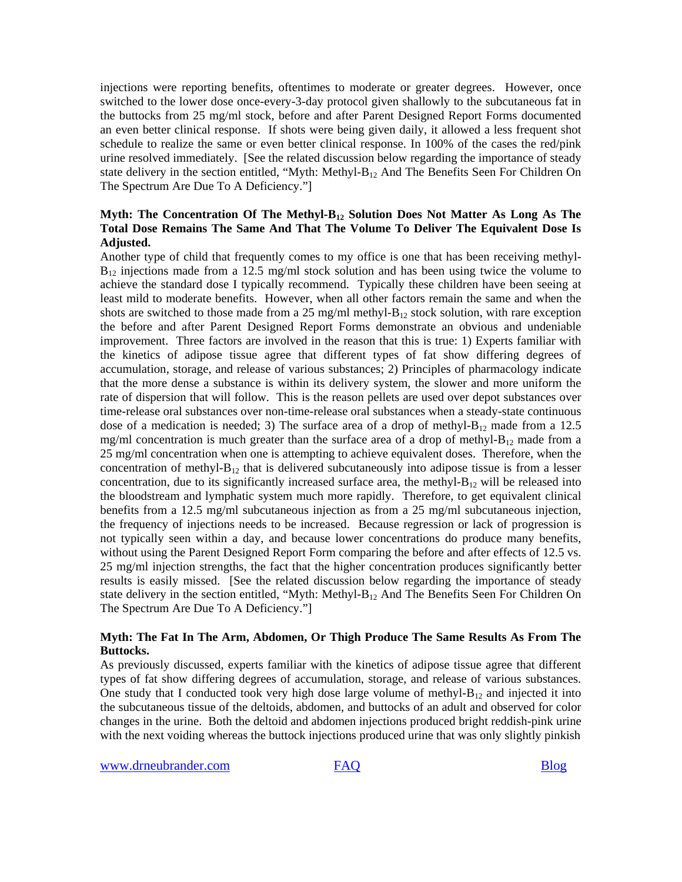injections were reporting benefits, oftentimes to moderate or greater degrees. However, once switched to the lower dose once-every-3-day protocol given shallowly to the subcutaneous fat in the buttocks from 25 mg/ml stock, before and after Parent Designed Report Forms documented an even better clinical response. If shots were being given daily, it allowed a less frequent shot schedule to realize the same or even better clinical response. In 100% of the cases the red/pink urine resolved immediately. [See the related discussion below regarding the importance of steady state delivery in the section entitled, "Myth: Methyl-B<sub>12</sub> And The Benefits Seen For Children On The Spectrum Are Due To A Deficiency."]

### **Myth: The Concentration Of The Methyl-B12 Solution Does Not Matter As Long As The Total Dose Remains The Same And That The Volume To Deliver The Equivalent Dose Is Adjusted.**

Another type of child that frequently comes to my office is one that has been receiving methyl- $B_{12}$  injections made from a 12.5 mg/ml stock solution and has been using twice the volume to achieve the standard dose I typically recommend. Typically these children have been seeing at least mild to moderate benefits. However, when all other factors remain the same and when the shots are switched to those made from a 25 mg/ml methyl- $B_{12}$  stock solution, with rare exception the before and after Parent Designed Report Forms demonstrate an obvious and undeniable improvement. Three factors are involved in the reason that this is true: 1) Experts familiar with the kinetics of adipose tissue agree that different types of fat show differing degrees of accumulation, storage, and release of various substances; 2) Principles of pharmacology indicate that the more dense a substance is within its delivery system, the slower and more uniform the rate of dispersion that will follow. This is the reason pellets are used over depot substances over time-release oral substances over non-time-release oral substances when a steady-state continuous dose of a medication is needed; 3) The surface area of a drop of methyl- $B_{12}$  made from a 12.5 mg/ml concentration is much greater than the surface area of a drop of methyl- $B_{12}$  made from a 25 mg/ml concentration when one is attempting to achieve equivalent doses. Therefore, when the concentration of methyl- $B_{12}$  that is delivered subcutaneously into adipose tissue is from a lesser concentration, due to its significantly increased surface area, the methyl- $B_{12}$  will be released into the bloodstream and lymphatic system much more rapidly. Therefore, to get equivalent clinical benefits from a 12.5 mg/ml subcutaneous injection as from a 25 mg/ml subcutaneous injection, the frequency of injections needs to be increased. Because regression or lack of progression is not typically seen within a day, and because lower concentrations do produce many benefits, without using the Parent Designed Report Form comparing the before and after effects of 12.5 vs. 25 mg/ml injection strengths, the fact that the higher concentration produces significantly better results is easily missed. [See the related discussion below regarding the importance of steady state delivery in the section entitled, "Myth: Methyl-B<sub>12</sub> And The Benefits Seen For Children On The Spectrum Are Due To A Deficiency."]

### **Myth: The Fat In The Arm, Abdomen, Or Thigh Produce The Same Results As From The Buttocks.**

As previously discussed, experts familiar with the kinetics of adipose tissue agree that different types of fat show differing degrees of accumulation, storage, and release of various substances. One study that I conducted took very high dose large volume of methyl- $B_{12}$  and injected it into the subcutaneous tissue of the deltoids, abdomen, and buttocks of an adult and observed for color changes in the urine. Both the deltoid and abdomen injections produced bright reddish-pink urine with the next voiding whereas the buttock injections produced urine that was only slightly pinkish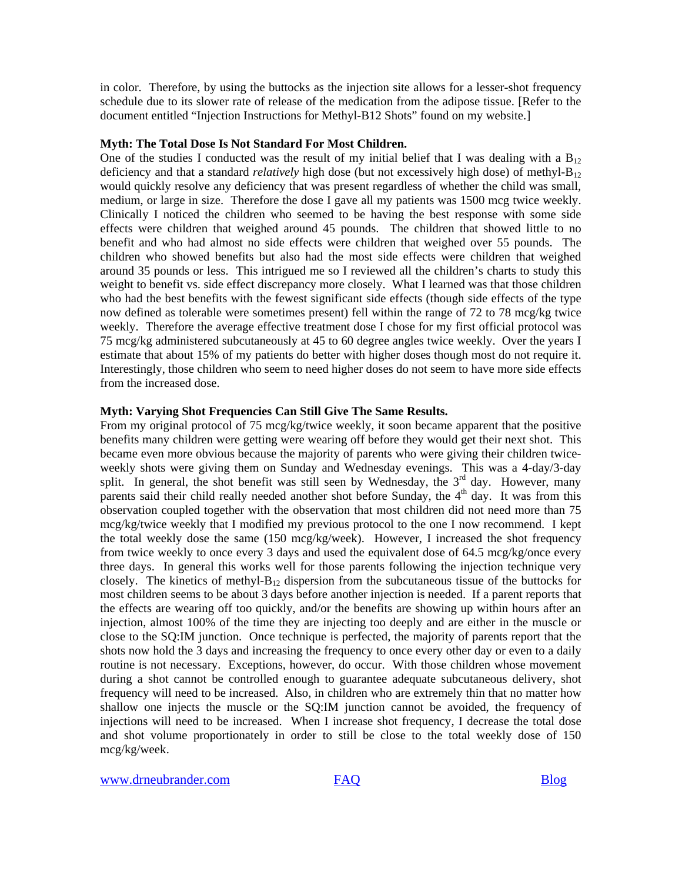in color. Therefore, by using the buttocks as the injection site allows for a lesser-shot frequency schedule due to its slower rate of release of the medication from the adipose tissue. [Refer to the document entitled "Injection Instructions for Methyl-B12 Shots" found on my website.]

#### **Myth: The Total Dose Is Not Standard For Most Children.**

One of the studies I conducted was the result of my initial belief that I was dealing with a  $B_{12}$ deficiency and that a standard *relatively* high dose (but not excessively high dose) of methyl-B<sub>12</sub> would quickly resolve any deficiency that was present regardless of whether the child was small, medium, or large in size. Therefore the dose I gave all my patients was 1500 mcg twice weekly. Clinically I noticed the children who seemed to be having the best response with some side effects were children that weighed around 45 pounds. The children that showed little to no benefit and who had almost no side effects were children that weighed over 55 pounds. The children who showed benefits but also had the most side effects were children that weighed around 35 pounds or less. This intrigued me so I reviewed all the children's charts to study this weight to benefit vs. side effect discrepancy more closely. What I learned was that those children who had the best benefits with the fewest significant side effects (though side effects of the type now defined as tolerable were sometimes present) fell within the range of 72 to 78 mcg/kg twice weekly. Therefore the average effective treatment dose I chose for my first official protocol was 75 mcg/kg administered subcutaneously at 45 to 60 degree angles twice weekly. Over the years I estimate that about 15% of my patients do better with higher doses though most do not require it. Interestingly, those children who seem to need higher doses do not seem to have more side effects from the increased dose.

#### **Myth: Varying Shot Frequencies Can Still Give The Same Results.**

From my original protocol of 75 mcg/kg/twice weekly, it soon became apparent that the positive benefits many children were getting were wearing off before they would get their next shot. This became even more obvious because the majority of parents who were giving their children twiceweekly shots were giving them on Sunday and Wednesday evenings. This was a 4-day/3-day split. In general, the shot benefit was still seen by Wednesday, the  $3<sup>rd</sup>$  day. However, many parents said their child really needed another shot before Sunday, the  $4<sup>th</sup>$  day. It was from this observation coupled together with the observation that most children did not need more than 75 mcg/kg/twice weekly that I modified my previous protocol to the one I now recommend. I kept the total weekly dose the same (150 mcg/kg/week). However, I increased the shot frequency from twice weekly to once every 3 days and used the equivalent dose of 64.5 mcg/kg/once every three days. In general this works well for those parents following the injection technique very closely. The kinetics of methyl- $B_{12}$  dispersion from the subcutaneous tissue of the buttocks for most children seems to be about 3 days before another injection is needed. If a parent reports that the effects are wearing off too quickly, and/or the benefits are showing up within hours after an injection, almost 100% of the time they are injecting too deeply and are either in the muscle or close to the SQ:IM junction. Once technique is perfected, the majority of parents report that the shots now hold the 3 days and increasing the frequency to once every other day or even to a daily routine is not necessary. Exceptions, however, do occur. With those children whose movement during a shot cannot be controlled enough to guarantee adequate subcutaneous delivery, shot frequency will need to be increased. Also, in children who are extremely thin that no matter how shallow one injects the muscle or the SQ:IM junction cannot be avoided, the frequency of injections will need to be increased. When I increase shot frequency, I decrease the total dose and shot volume proportionately in order to still be close to the total weekly dose of 150 mcg/kg/week.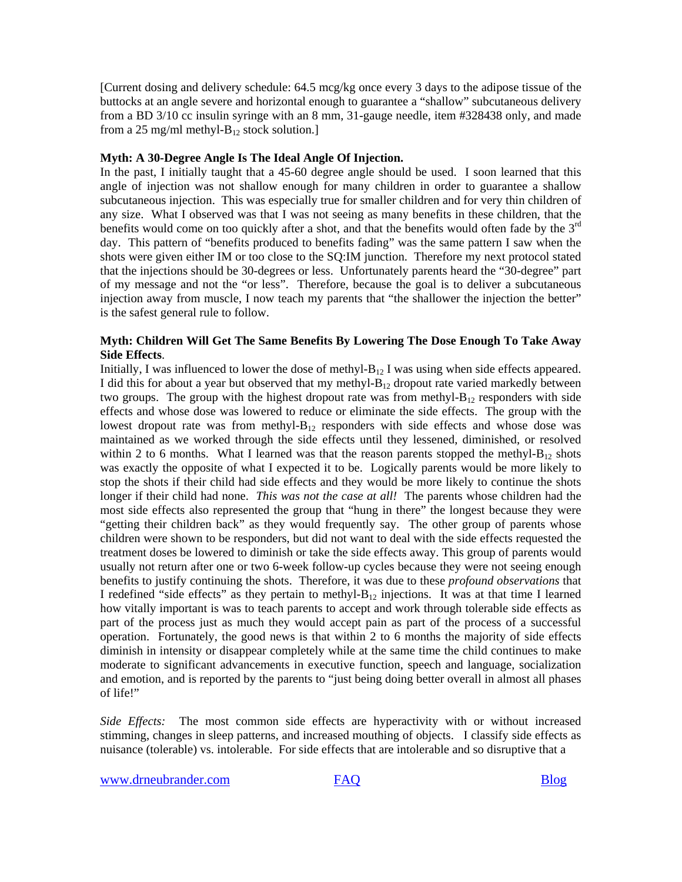[Current dosing and delivery schedule: 64.5 mcg/kg once every 3 days to the adipose tissue of the buttocks at an angle severe and horizontal enough to guarantee a "shallow" subcutaneous delivery from a BD 3/10 cc insulin syringe with an 8 mm, 31-gauge needle, item #328438 only, and made from a 25 mg/ml methyl- $B_{12}$  stock solution.]

#### **Myth: A 30-Degree Angle Is The Ideal Angle Of Injection.**

In the past, I initially taught that a 45-60 degree angle should be used. I soon learned that this angle of injection was not shallow enough for many children in order to guarantee a shallow subcutaneous injection. This was especially true for smaller children and for very thin children of any size. What I observed was that I was not seeing as many benefits in these children, that the benefits would come on too quickly after a shot, and that the benefits would often fade by the  $3<sup>rd</sup>$ day. This pattern of "benefits produced to benefits fading" was the same pattern I saw when the shots were given either IM or too close to the SQ:IM junction. Therefore my next protocol stated that the injections should be 30-degrees or less. Unfortunately parents heard the "30-degree" part of my message and not the "or less". Therefore, because the goal is to deliver a subcutaneous injection away from muscle, I now teach my parents that "the shallower the injection the better" is the safest general rule to follow.

#### **Myth: Children Will Get The Same Benefits By Lowering The Dose Enough To Take Away Side Effects**.

Initially, I was influenced to lower the dose of methyl- $B_{12}$  I was using when side effects appeared. I did this for about a year but observed that my methyl- $B_{12}$  dropout rate varied markedly between two groups. The group with the highest dropout rate was from methyl- $B_{12}$  responders with side effects and whose dose was lowered to reduce or eliminate the side effects. The group with the lowest dropout rate was from methyl- $B_{12}$  responders with side effects and whose dose was maintained as we worked through the side effects until they lessened, diminished, or resolved within 2 to 6 months. What I learned was that the reason parents stopped the methyl- $B_{12}$  shots was exactly the opposite of what I expected it to be. Logically parents would be more likely to stop the shots if their child had side effects and they would be more likely to continue the shots longer if their child had none. *This was not the case at all!* The parents whose children had the most side effects also represented the group that "hung in there" the longest because they were "getting their children back" as they would frequently say. The other group of parents whose children were shown to be responders, but did not want to deal with the side effects requested the treatment doses be lowered to diminish or take the side effects away. This group of parents would usually not return after one or two 6-week follow-up cycles because they were not seeing enough benefits to justify continuing the shots. Therefore, it was due to these *profound observations* that I redefined "side effects" as they pertain to methyl- $B_{12}$  injections. It was at that time I learned how vitally important is was to teach parents to accept and work through tolerable side effects as part of the process just as much they would accept pain as part of the process of a successful operation. Fortunately, the good news is that within 2 to 6 months the majority of side effects diminish in intensity or disappear completely while at the same time the child continues to make moderate to significant advancements in executive function, speech and language, socialization and emotion, and is reported by the parents to "just being doing better overall in almost all phases of life!"

*Side Effects:* The most common side effects are hyperactivity with or without increased stimming, changes in sleep patterns, and increased mouthing of objects. I classify side effects as nuisance (tolerable) vs. intolerable. For side effects that are intolerable and so disruptive that a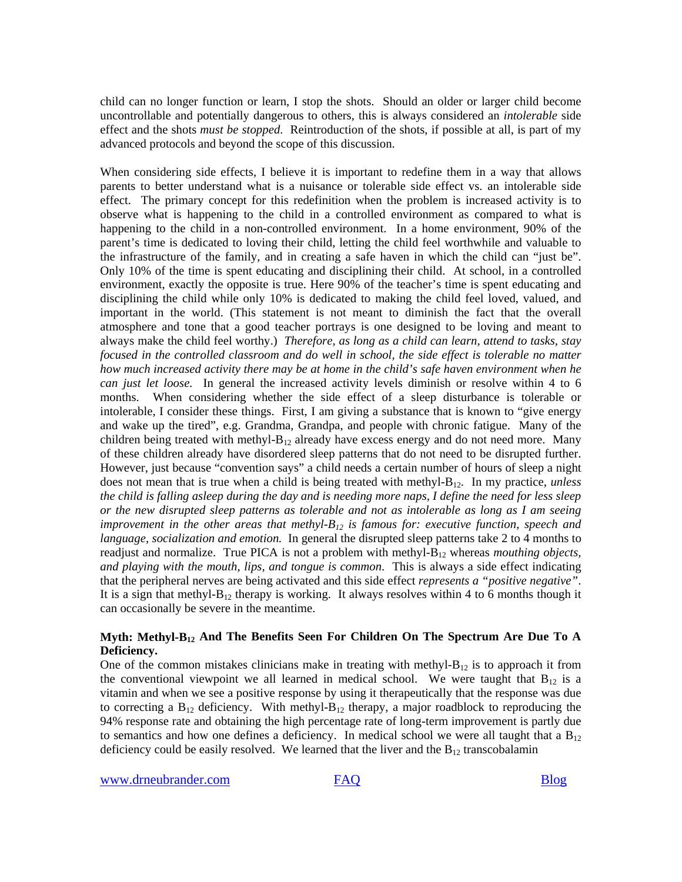child can no longer function or learn, I stop the shots. Should an older or larger child become uncontrollable and potentially dangerous to others, this is always considered an *intolerable* side effect and the shots *must be stopped*. Reintroduction of the shots, if possible at all, is part of my advanced protocols and beyond the scope of this discussion.

When considering side effects, I believe it is important to redefine them in a way that allows parents to better understand what is a nuisance or tolerable side effect vs. an intolerable side effect. The primary concept for this redefinition when the problem is increased activity is to observe what is happening to the child in a controlled environment as compared to what is happening to the child in a non-controlled environment. In a home environment, 90% of the parent's time is dedicated to loving their child, letting the child feel worthwhile and valuable to the infrastructure of the family, and in creating a safe haven in which the child can "just be". Only 10% of the time is spent educating and disciplining their child. At school, in a controlled environment, exactly the opposite is true. Here 90% of the teacher's time is spent educating and disciplining the child while only 10% is dedicated to making the child feel loved, valued, and important in the world. (This statement is not meant to diminish the fact that the overall atmosphere and tone that a good teacher portrays is one designed to be loving and meant to always make the child feel worthy.) *Therefore, as long as a child can learn, attend to tasks, stay focused in the controlled classroom and do well in school, the side effect is tolerable no matter how much increased activity there may be at home in the child's safe haven environment when he can just let loose.* In general the increased activity levels diminish or resolve within 4 to 6 months. When considering whether the side effect of a sleep disturbance is tolerable or intolerable, I consider these things. First, I am giving a substance that is known to "give energy and wake up the tired", e.g. Grandma, Grandpa, and people with chronic fatigue. Many of the children being treated with methyl- $B_{12}$  already have excess energy and do not need more. Many of these children already have disordered sleep patterns that do not need to be disrupted further. However, just because "convention says" a child needs a certain number of hours of sleep a night does not mean that is true when a child is being treated with methyl-B12. In my practice, *unless the child is falling asleep during the day and is needing more naps, I define the need for less sleep or the new disrupted sleep patterns as tolerable and not as intolerable as long as I am seeing improvement in the other areas that methyl-B<sub>12</sub> is famous for: executive function, speech and language, socialization and emotion.* In general the disrupted sleep patterns take 2 to 4 months to readjust and normalize. True PICA is not a problem with methyl-B12 whereas *mouthing objects, and playing with the mouth, lips, and tongue is common*. This is always a side effect indicating that the peripheral nerves are being activated and this side effect *represents a "positive negative"*. It is a sign that methyl- $B_{12}$  therapy is working. It always resolves within 4 to 6 months though it can occasionally be severe in the meantime.

#### **Myth: Methyl-B12 And The Benefits Seen For Children On The Spectrum Are Due To A Deficiency.**

One of the common mistakes clinicians make in treating with methyl- $B_{12}$  is to approach it from the conventional viewpoint we all learned in medical school. We were taught that  $B_{12}$  is a vitamin and when we see a positive response by using it therapeutically that the response was due to correcting a  $B_{12}$  deficiency. With methyl- $B_{12}$  therapy, a major roadblock to reproducing the 94% response rate and obtaining the high percentage rate of long-term improvement is partly due to semantics and how one defines a deficiency. In medical school we were all taught that a  $B_{12}$ deficiency could be easily resolved. We learned that the liver and the  $B_{12}$  transcobalamin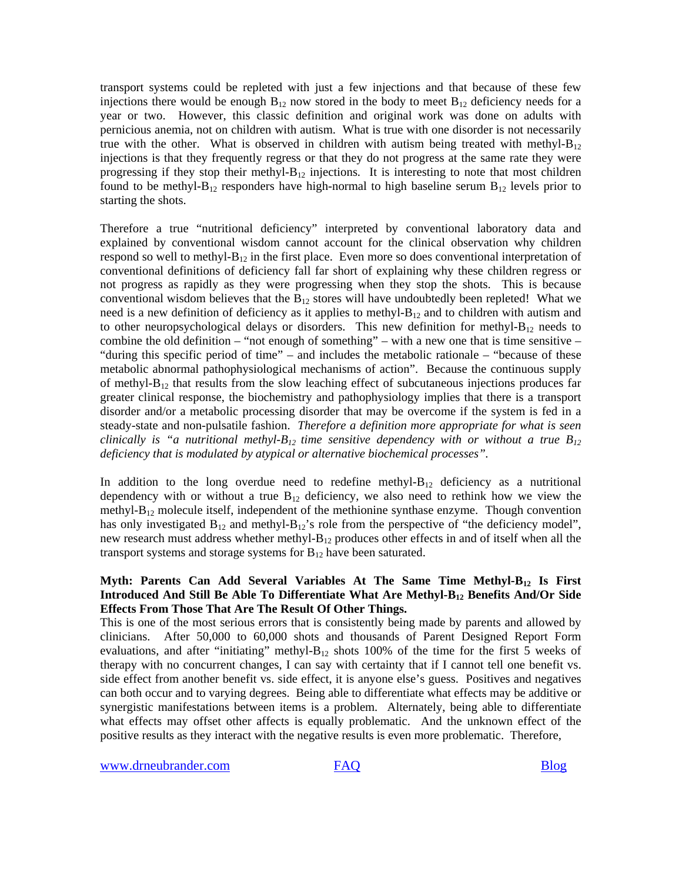transport systems could be repleted with just a few injections and that because of these few injections there would be enough  $B_{12}$  now stored in the body to meet  $B_{12}$  deficiency needs for a year or two. However, this classic definition and original work was done on adults with pernicious anemia, not on children with autism. What is true with one disorder is not necessarily true with the other. What is observed in children with autism being treated with methyl- $B_{12}$ injections is that they frequently regress or that they do not progress at the same rate they were progressing if they stop their methyl- $B_{12}$  injections. It is interesting to note that most children found to be methyl- $B_{12}$  responders have high-normal to high baseline serum  $B_{12}$  levels prior to starting the shots.

Therefore a true "nutritional deficiency" interpreted by conventional laboratory data and explained by conventional wisdom cannot account for the clinical observation why children respond so well to methyl- $B_{12}$  in the first place. Even more so does conventional interpretation of conventional definitions of deficiency fall far short of explaining why these children regress or not progress as rapidly as they were progressing when they stop the shots. This is because conventional wisdom believes that the  $B_{12}$  stores will have undoubtedly been repleted! What we need is a new definition of deficiency as it applies to methyl- $B_{12}$  and to children with autism and to other neuropsychological delays or disorders. This new definition for methyl- $B_{12}$  needs to combine the old definition – "not enough of something" – with a new one that is time sensitive – "during this specific period of time" – and includes the metabolic rationale – "because of these metabolic abnormal pathophysiological mechanisms of action". Because the continuous supply of methyl- $B_{12}$  that results from the slow leaching effect of subcutaneous injections produces far greater clinical response, the biochemistry and pathophysiology implies that there is a transport disorder and/or a metabolic processing disorder that may be overcome if the system is fed in a steady-state and non-pulsatile fashion. *Therefore a definition more appropriate for what is seen clinically is "a nutritional methyl-B<sub>12</sub> time sensitive dependency with or without a true B<sub>12</sub> deficiency that is modulated by atypical or alternative biochemical processes".* 

In addition to the long overdue need to redefine methyl- $B_{12}$  deficiency as a nutritional dependency with or without a true  $B_{12}$  deficiency, we also need to rethink how we view the methyl- $B_{12}$  molecule itself, independent of the methionine synthase enzyme. Though convention has only investigated  $B_{12}$  and methyl- $B_{12}$ 's role from the perspective of "the deficiency model", new research must address whether methyl- $B_{12}$  produces other effects in and of itself when all the transport systems and storage systems for  $B_{12}$  have been saturated.

### **Myth: Parents Can Add Several Variables At The Same Time Methyl-B12 Is First**  Introduced And Still Be Able To Differentiate What Are Methyl-B<sub>12</sub> Benefits And/Or Side **Effects From Those That Are The Result Of Other Things.**

This is one of the most serious errors that is consistently being made by parents and allowed by clinicians. After 50,000 to 60,000 shots and thousands of Parent Designed Report Form evaluations, and after "initiating" methyl- $B_{12}$  shots 100% of the time for the first 5 weeks of therapy with no concurrent changes, I can say with certainty that if I cannot tell one benefit vs. side effect from another benefit vs. side effect, it is anyone else's guess. Positives and negatives can both occur and to varying degrees. Being able to differentiate what effects may be additive or synergistic manifestations between items is a problem. Alternately, being able to differentiate what effects may offset other affects is equally problematic. And the unknown effect of the positive results as they interact with the negative results is even more problematic. Therefore,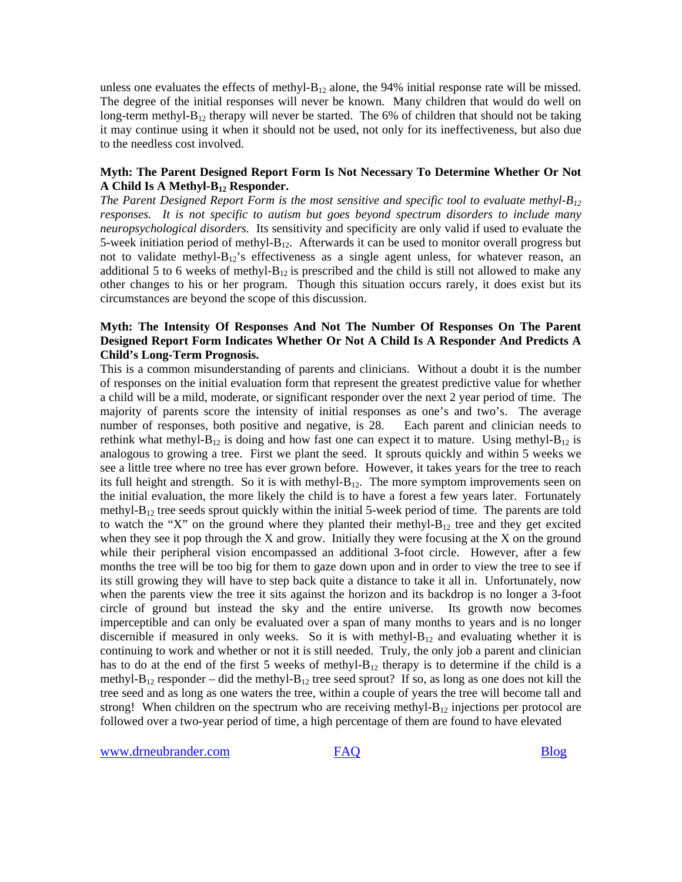unless one evaluates the effects of methyl- $B_{12}$  alone, the 94% initial response rate will be missed. The degree of the initial responses will never be known. Many children that would do well on long-term methyl- $B_{12}$  therapy will never be started. The 6% of children that should not be taking it may continue using it when it should not be used, not only for its ineffectiveness, but also due to the needless cost involved.

#### **Myth: The Parent Designed Report Form Is Not Necessary To Determine Whether Or Not A Child Is A Methyl-B12 Responder.**

*The Parent Designed Report Form is the most sensitive and specific tool to evaluate methyl-B12 responses. It is not specific to autism but goes beyond spectrum disorders to include many neuropsychological disorders.* Its sensitivity and specificity are only valid if used to evaluate the 5-week initiation period of methyl- $B_{12}$ . Afterwards it can be used to monitor overall progress but not to validate methyl- $B_{12}$ 's effectiveness as a single agent unless, for whatever reason, an additional 5 to 6 weeks of methyl- $B_{12}$  is prescribed and the child is still not allowed to make any other changes to his or her program. Though this situation occurs rarely, it does exist but its circumstances are beyond the scope of this discussion.

### **Myth: The Intensity Of Responses And Not The Number Of Responses On The Parent Designed Report Form Indicates Whether Or Not A Child Is A Responder And Predicts A Child's Long-Term Prognosis.**

This is a common misunderstanding of parents and clinicians. Without a doubt it is the number of responses on the initial evaluation form that represent the greatest predictive value for whether a child will be a mild, moderate, or significant responder over the next 2 year period of time. The majority of parents score the intensity of initial responses as one's and two's. The average number of responses, both positive and negative, is 28. Each parent and clinician needs to rethink what methyl- $B_{12}$  is doing and how fast one can expect it to mature. Using methyl- $B_{12}$  is analogous to growing a tree. First we plant the seed. It sprouts quickly and within 5 weeks we see a little tree where no tree has ever grown before. However, it takes years for the tree to reach its full height and strength. So it is with methyl- $B_{12}$ . The more symptom improvements seen on the initial evaluation, the more likely the child is to have a forest a few years later. Fortunately methyl- $B_{12}$  tree seeds sprout quickly within the initial 5-week period of time. The parents are told to watch the "X" on the ground where they planted their methyl- $B_{12}$  tree and they get excited when they see it pop through the X and grow. Initially they were focusing at the X on the ground while their peripheral vision encompassed an additional 3-foot circle. However, after a few months the tree will be too big for them to gaze down upon and in order to view the tree to see if its still growing they will have to step back quite a distance to take it all in. Unfortunately, now when the parents view the tree it sits against the horizon and its backdrop is no longer a 3-foot circle of ground but instead the sky and the entire universe. Its growth now becomes imperceptible and can only be evaluated over a span of many months to years and is no longer discernible if measured in only weeks. So it is with methyl- $B_{12}$  and evaluating whether it is continuing to work and whether or not it is still needed. Truly, the only job a parent and clinician has to do at the end of the first 5 weeks of methyl- $B_{12}$  therapy is to determine if the child is a methyl- $B_{12}$  responder – did the methyl- $B_{12}$  tree seed sprout? If so, as long as one does not kill the tree seed and as long as one waters the tree, within a couple of years the tree will become tall and strong! When children on the spectrum who are receiving methyl- $B_{12}$  injections per protocol are followed over a two-year period of time, a high percentage of them are found to have elevated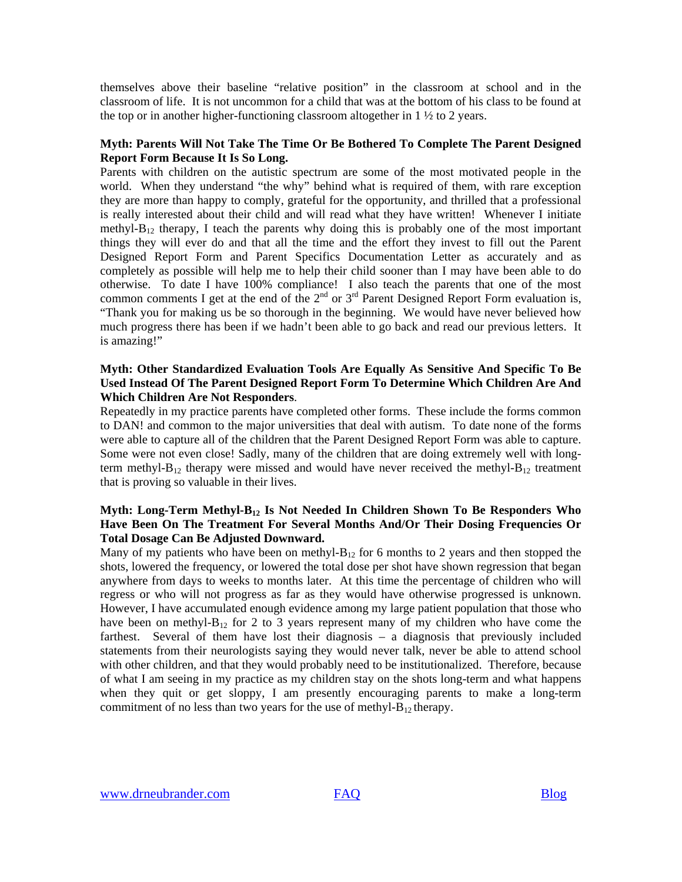themselves above their baseline "relative position" in the classroom at school and in the classroom of life. It is not uncommon for a child that was at the bottom of his class to be found at the top or in another higher-functioning classroom altogether in  $1 \frac{1}{2}$  to 2 years.

#### **Myth: Parents Will Not Take The Time Or Be Bothered To Complete The Parent Designed Report Form Because It Is So Long.**

Parents with children on the autistic spectrum are some of the most motivated people in the world. When they understand "the why" behind what is required of them, with rare exception they are more than happy to comply, grateful for the opportunity, and thrilled that a professional is really interested about their child and will read what they have written! Whenever I initiate methyl- $B_{12}$  therapy, I teach the parents why doing this is probably one of the most important things they will ever do and that all the time and the effort they invest to fill out the Parent Designed Report Form and Parent Specifics Documentation Letter as accurately and as completely as possible will help me to help their child sooner than I may have been able to do otherwise. To date I have 100% compliance! I also teach the parents that one of the most common comments I get at the end of the  $2<sup>nd</sup>$  or  $3<sup>rd</sup>$  Parent Designed Report Form evaluation is, "Thank you for making us be so thorough in the beginning. We would have never believed how much progress there has been if we hadn't been able to go back and read our previous letters. It is amazing!"

### **Myth: Other Standardized Evaluation Tools Are Equally As Sensitive And Specific To Be Used Instead Of The Parent Designed Report Form To Determine Which Children Are And Which Children Are Not Responders**.

Repeatedly in my practice parents have completed other forms. These include the forms common to DAN! and common to the major universities that deal with autism. To date none of the forms were able to capture all of the children that the Parent Designed Report Form was able to capture. Some were not even close! Sadly, many of the children that are doing extremely well with longterm methyl- $B_{12}$  therapy were missed and would have never received the methyl- $B_{12}$  treatment that is proving so valuable in their lives.

### **Myth: Long-Term Methyl-B12 Is Not Needed In Children Shown To Be Responders Who Have Been On The Treatment For Several Months And/Or Their Dosing Frequencies Or Total Dosage Can Be Adjusted Downward.**

Many of my patients who have been on methyl- $B_{12}$  for 6 months to 2 years and then stopped the shots, lowered the frequency, or lowered the total dose per shot have shown regression that began anywhere from days to weeks to months later. At this time the percentage of children who will regress or who will not progress as far as they would have otherwise progressed is unknown. However, I have accumulated enough evidence among my large patient population that those who have been on methyl- $B_{12}$  for 2 to 3 years represent many of my children who have come the farthest. Several of them have lost their diagnosis – a diagnosis that previously included statements from their neurologists saying they would never talk, never be able to attend school with other children, and that they would probably need to be institutionalized. Therefore, because of what I am seeing in my practice as my children stay on the shots long-term and what happens when they quit or get sloppy, I am presently encouraging parents to make a long-term commitment of no less than two years for the use of methyl- $B_{12}$  therapy.

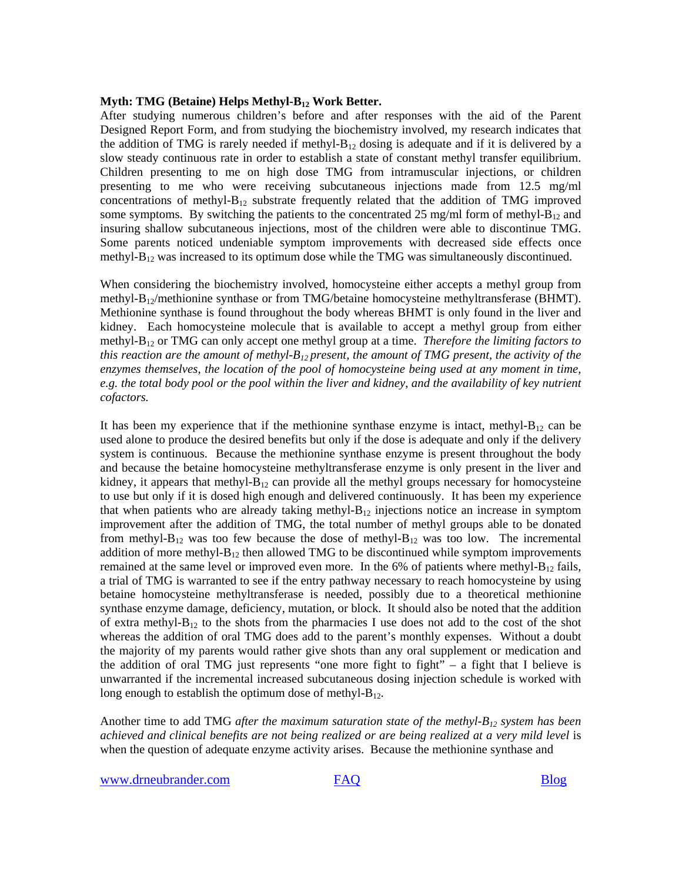#### **Myth: TMG (Betaine) Helps Methyl-B<sub>12</sub> Work Better.**

After studying numerous children's before and after responses with the aid of the Parent Designed Report Form, and from studying the biochemistry involved, my research indicates that the addition of TMG is rarely needed if methyl- $B_{12}$  dosing is adequate and if it is delivered by a slow steady continuous rate in order to establish a state of constant methyl transfer equilibrium. Children presenting to me on high dose TMG from intramuscular injections, or children presenting to me who were receiving subcutaneous injections made from 12.5 mg/ml concentrations of methyl- $B_{12}$  substrate frequently related that the addition of TMG improved some symptoms. By switching the patients to the concentrated 25 mg/ml form of methyl- $B_{12}$  and insuring shallow subcutaneous injections, most of the children were able to discontinue TMG. Some parents noticed undeniable symptom improvements with decreased side effects once methyl- $B_{12}$  was increased to its optimum dose while the TMG was simultaneously discontinued.

When considering the biochemistry involved, homocysteine either accepts a methyl group from methyl-B<sub>12</sub>/methionine synthase or from TMG/betaine homocysteine methyltransferase (BHMT). Methionine synthase is found throughout the body whereas BHMT is only found in the liver and kidney. Each homocysteine molecule that is available to accept a methyl group from either methyl-B12 or TMG can only accept one methyl group at a time. *Therefore the limiting factors to this reaction are the amount of methyl-B<sub>12</sub> present, the amount of TMG present, the activity of the enzymes themselves, the location of the pool of homocysteine being used at any moment in time, e.g. the total body pool or the pool within the liver and kidney, and the availability of key nutrient cofactors.* 

It has been my experience that if the methionine synthase enzyme is intact, methyl- $B_{12}$  can be used alone to produce the desired benefits but only if the dose is adequate and only if the delivery system is continuous. Because the methionine synthase enzyme is present throughout the body and because the betaine homocysteine methyltransferase enzyme is only present in the liver and kidney, it appears that methyl- $B_{12}$  can provide all the methyl groups necessary for homocysteine to use but only if it is dosed high enough and delivered continuously. It has been my experience that when patients who are already taking methyl- $B_{12}$  injections notice an increase in symptom improvement after the addition of TMG, the total number of methyl groups able to be donated from methyl- $B_{12}$  was too few because the dose of methyl- $B_{12}$  was too low. The incremental addition of more methyl- $B_{12}$  then allowed TMG to be discontinued while symptom improvements remained at the same level or improved even more. In the 6% of patients where methyl- $B_{12}$  fails, a trial of TMG is warranted to see if the entry pathway necessary to reach homocysteine by using betaine homocysteine methyltransferase is needed, possibly due to a theoretical methionine synthase enzyme damage, deficiency, mutation, or block. It should also be noted that the addition of extra methyl- $B_{12}$  to the shots from the pharmacies I use does not add to the cost of the shot whereas the addition of oral TMG does add to the parent's monthly expenses. Without a doubt the majority of my parents would rather give shots than any oral supplement or medication and the addition of oral TMG just represents "one more fight to fight" – a fight that I believe is unwarranted if the incremental increased subcutaneous dosing injection schedule is worked with long enough to establish the optimum dose of methyl- $B_{12}$ .

Another time to add TMG *after the maximum saturation state of the methyl-B12 system has been*  achieved and clinical benefits are not being realized or are being realized at a very mild level is when the question of adequate enzyme activity arises. Because the methionine synthase and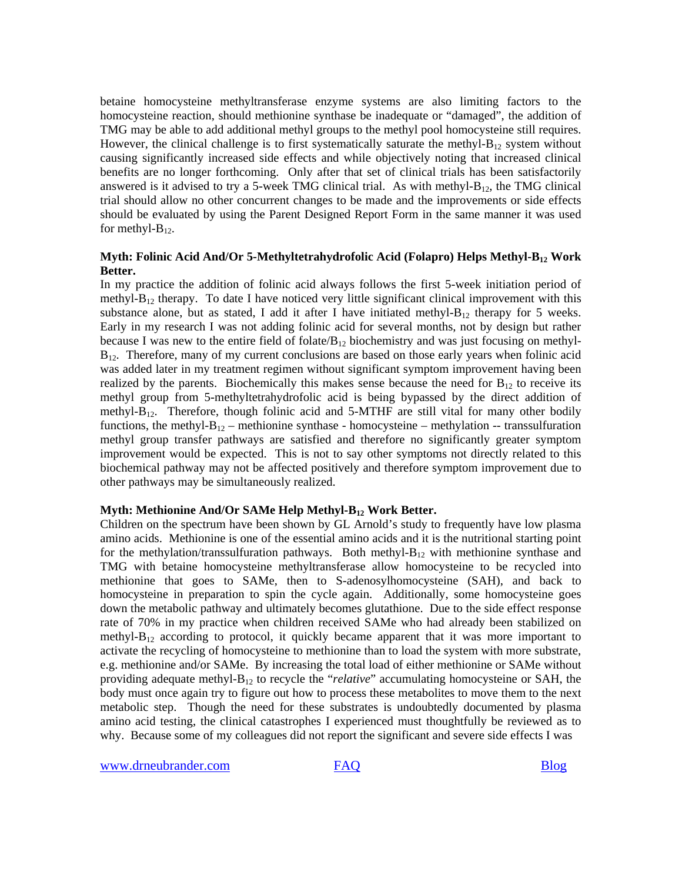betaine homocysteine methyltransferase enzyme systems are also limiting factors to the homocysteine reaction, should methionine synthase be inadequate or "damaged", the addition of TMG may be able to add additional methyl groups to the methyl pool homocysteine still requires. However, the clinical challenge is to first systematically saturate the methyl- $B_{12}$  system without causing significantly increased side effects and while objectively noting that increased clinical benefits are no longer forthcoming. Only after that set of clinical trials has been satisfactorily answered is it advised to try a 5-week TMG clinical trial. As with methyl- $B_{12}$ , the TMG clinical trial should allow no other concurrent changes to be made and the improvements or side effects should be evaluated by using the Parent Designed Report Form in the same manner it was used for methyl- $B_{12}$ .

### Myth: Folinic Acid And/Or 5-Methyltetrahydrofolic Acid (Folapro) Helps Methyl-B<sub>12</sub> Work **Better.**

In my practice the addition of folinic acid always follows the first 5-week initiation period of methyl- $B_{12}$  therapy. To date I have noticed very little significant clinical improvement with this substance alone, but as stated, I add it after I have initiated methyl- $B_{12}$  therapy for 5 weeks. Early in my research I was not adding folinic acid for several months, not by design but rather because I was new to the entire field of folate/ $B_{12}$  biochemistry and was just focusing on methyl- $B_{12}$ . Therefore, many of my current conclusions are based on those early years when folinic acid was added later in my treatment regimen without significant symptom improvement having been realized by the parents. Biochemically this makes sense because the need for  $B_{12}$  to receive its methyl group from 5-methyltetrahydrofolic acid is being bypassed by the direct addition of methyl- $B_{12}$ . Therefore, though folinic acid and 5-MTHF are still vital for many other bodily functions, the methyl- $B_{12}$  – methionine synthase - homocysteine – methylation -- transsulfuration methyl group transfer pathways are satisfied and therefore no significantly greater symptom improvement would be expected. This is not to say other symptoms not directly related to this biochemical pathway may not be affected positively and therefore symptom improvement due to other pathways may be simultaneously realized.

#### Myth: Methionine And/Or SAMe Help Methyl-B<sub>12</sub> Work Better.

Children on the spectrum have been shown by GL Arnold's study to frequently have low plasma amino acids. Methionine is one of the essential amino acids and it is the nutritional starting point for the methylation/transsulfuration pathways. Both methyl- $B_{12}$  with methionine synthase and TMG with betaine homocysteine methyltransferase allow homocysteine to be recycled into methionine that goes to SAMe, then to S-adenosylhomocysteine (SAH), and back to homocysteine in preparation to spin the cycle again. Additionally, some homocysteine goes down the metabolic pathway and ultimately becomes glutathione. Due to the side effect response rate of 70% in my practice when children received SAMe who had already been stabilized on methyl- $B_{12}$  according to protocol, it quickly became apparent that it was more important to activate the recycling of homocysteine to methionine than to load the system with more substrate, e.g. methionine and/or SAMe. By increasing the total load of either methionine or SAMe without providing adequate methyl-B12 to recycle the "*relative*" accumulating homocysteine or SAH, the body must once again try to figure out how to process these metabolites to move them to the next metabolic step. Though the need for these substrates is undoubtedly documented by plasma amino acid testing, the clinical catastrophes I experienced must thoughtfully be reviewed as to why. Because some of my colleagues did not report the significant and severe side effects I was

[www.drneubrander.com](http://www.drneubrander.com/) [FAQ](http://drneubrander.com/faq.php) FAQ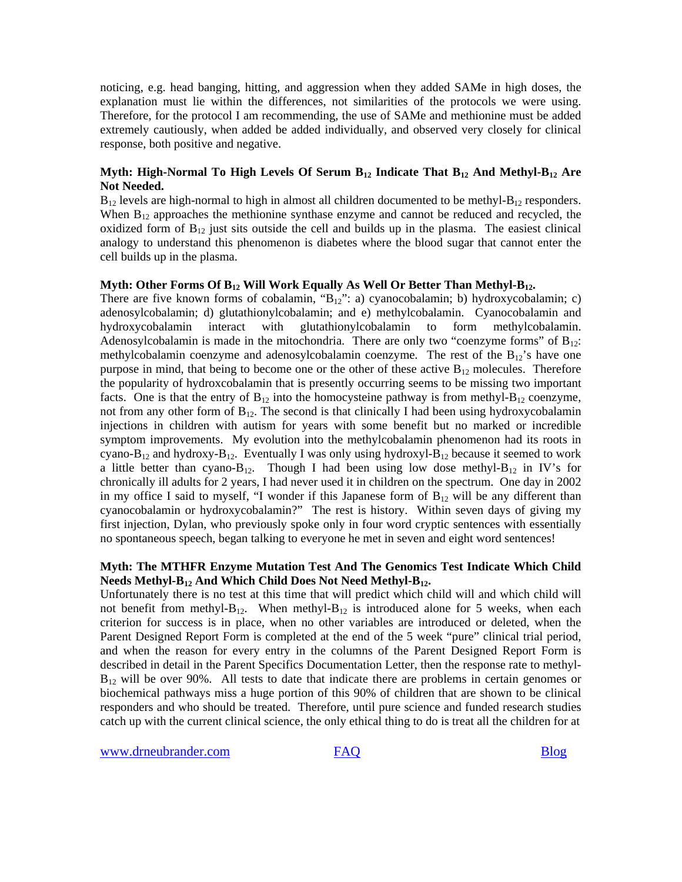noticing, e.g. head banging, hitting, and aggression when they added SAMe in high doses, the explanation must lie within the differences, not similarities of the protocols we were using. Therefore, for the protocol I am recommending, the use of SAMe and methionine must be added extremely cautiously, when added be added individually, and observed very closely for clinical response, both positive and negative.

#### **Myth: High-Normal To High Levels Of Serum B12 Indicate That B12 And Methyl-B12 Are Not Needed.**

 $B_{12}$  levels are high-normal to high in almost all children documented to be methyl- $B_{12}$  responders. When  $B_{12}$  approaches the methionine synthase enzyme and cannot be reduced and recycled, the oxidized form of  $B_{12}$  just sits outside the cell and builds up in the plasma. The easiest clinical analogy to understand this phenomenon is diabetes where the blood sugar that cannot enter the cell builds up in the plasma.

#### **Myth: Other Forms Of B12 Will Work Equally As Well Or Better Than Methyl-B12.**

There are five known forms of cobalamin, " $B_{12}$ ": a) cyanocobalamin; b) hydroxycobalamin; c) adenosylcobalamin; d) glutathionylcobalamin; and e) methylcobalamin. Cyanocobalamin and hydroxycobalamin interact with glutathionylcobalamin to form methylcobalamin. Adenosylcobalamin is made in the mitochondria. There are only two "coenzyme forms" of  $B_{12}$ : methylcobalamin coenzyme and adenosylcobalamin coenzyme. The rest of the  $B_{12}$ 's have one purpose in mind, that being to become one or the other of these active  $B_{12}$  molecules. Therefore the popularity of hydroxcobalamin that is presently occurring seems to be missing two important facts. One is that the entry of  $B_{12}$  into the homocysteine pathway is from methyl- $B_{12}$  coenzyme, not from any other form of  $B_{12}$ . The second is that clinically I had been using hydroxycobalamin injections in children with autism for years with some benefit but no marked or incredible symptom improvements. My evolution into the methylcobalamin phenomenon had its roots in cyano-B<sub>12</sub> and hydroxy-B<sub>12</sub>. Eventually I was only using hydroxyl-B<sub>12</sub> because it seemed to work a little better than cyano-B<sub>12</sub>. Though I had been using low dose methyl-B<sub>12</sub> in IV's for chronically ill adults for 2 years, I had never used it in children on the spectrum. One day in 2002 in my office I said to myself, "I wonder if this Japanese form of  $B_{12}$  will be any different than cyanocobalamin or hydroxycobalamin?" The rest is history. Within seven days of giving my first injection, Dylan, who previously spoke only in four word cryptic sentences with essentially no spontaneous speech, began talking to everyone he met in seven and eight word sentences!

#### **Myth: The MTHFR Enzyme Mutation Test And The Genomics Test Indicate Which Child Needs Methyl-B12 And Which Child Does Not Need Methyl-B12.**

Unfortunately there is no test at this time that will predict which child will and which child will not benefit from methyl- $B_{12}$ . When methyl- $B_{12}$  is introduced alone for 5 weeks, when each criterion for success is in place, when no other variables are introduced or deleted, when the Parent Designed Report Form is completed at the end of the 5 week "pure" clinical trial period, and when the reason for every entry in the columns of the Parent Designed Report Form is described in detail in the Parent Specifics Documentation Letter, then the response rate to methyl- $B_{12}$  will be over 90%. All tests to date that indicate there are problems in certain genomes or biochemical pathways miss a huge portion of this 90% of children that are shown to be clinical responders and who should be treated. Therefore, until pure science and funded research studies catch up with the current clinical science, the only ethical thing to do is treat all the children for at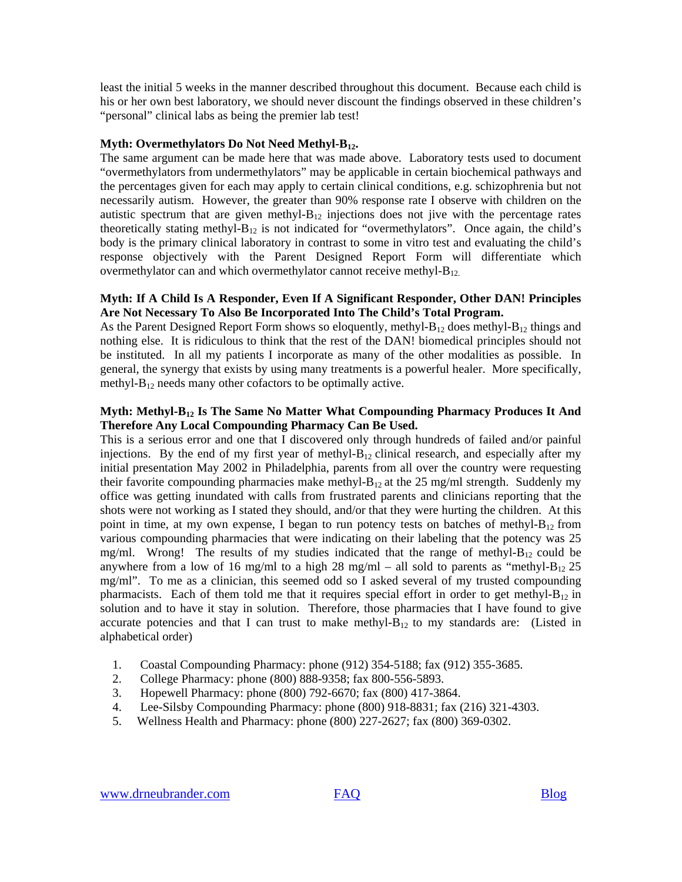least the initial 5 weeks in the manner described throughout this document. Because each child is his or her own best laboratory, we should never discount the findings observed in these children's "personal" clinical labs as being the premier lab test!

#### **Myth: Overmethylators Do Not Need Methyl-B12.**

The same argument can be made here that was made above. Laboratory tests used to document "overmethylators from undermethylators" may be applicable in certain biochemical pathways and the percentages given for each may apply to certain clinical conditions, e.g. schizophrenia but not necessarily autism. However, the greater than 90% response rate I observe with children on the autistic spectrum that are given methyl- $B_{12}$  injections does not jive with the percentage rates theoretically stating methyl- $B_{12}$  is not indicated for "overmethylators". Once again, the child's body is the primary clinical laboratory in contrast to some in vitro test and evaluating the child's response objectively with the Parent Designed Report Form will differentiate which overmethylator can and which overmethylator cannot receive methyl- $B_{12}$ .

#### **Myth: If A Child Is A Responder, Even If A Significant Responder, Other DAN! Principles Are Not Necessary To Also Be Incorporated Into The Child's Total Program.**

As the Parent Designed Report Form shows so eloquently, methyl- $B_{12}$  does methyl- $B_{12}$  things and nothing else. It is ridiculous to think that the rest of the DAN! biomedical principles should not be instituted. In all my patients I incorporate as many of the other modalities as possible. In general, the synergy that exists by using many treatments is a powerful healer. More specifically, methyl- $B_{12}$  needs many other cofactors to be optimally active.

#### **Myth: Methyl-B12 Is The Same No Matter What Compounding Pharmacy Produces It And Therefore Any Local Compounding Pharmacy Can Be Used.**

This is a serious error and one that I discovered only through hundreds of failed and/or painful injections. By the end of my first year of methyl- $B_{12}$  clinical research, and especially after my initial presentation May 2002 in Philadelphia, parents from all over the country were requesting their favorite compounding pharmacies make methyl- $B_{12}$  at the 25 mg/ml strength. Suddenly my office was getting inundated with calls from frustrated parents and clinicians reporting that the shots were not working as I stated they should, and/or that they were hurting the children. At this point in time, at my own expense, I began to run potency tests on batches of methyl- $B_{12}$  from various compounding pharmacies that were indicating on their labeling that the potency was 25 mg/ml. Wrong! The results of my studies indicated that the range of methyl- $B_{12}$  could be anywhere from a low of 16 mg/ml to a high 28 mg/ml – all sold to parents as "methyl- $B_{12}$  25 mg/ml". To me as a clinician, this seemed odd so I asked several of my trusted compounding pharmacists. Each of them told me that it requires special effort in order to get methyl- $B_{12}$  in solution and to have it stay in solution. Therefore, those pharmacies that I have found to give accurate potencies and that I can trust to make methyl- $B_{12}$  to my standards are: (Listed in alphabetical order)

- 1. Coastal Compounding Pharmacy: phone (912) 354-5188; fax (912) 355-3685.
- 2. College Pharmacy: phone (800) 888-9358; fax 800-556-5893.
- 3. Hopewell Pharmacy: phone (800) 792-6670; fax (800) 417-3864.
- 4. Lee-Silsby Compounding Pharmacy: phone (800) 918-8831; fax (216) 321-4303.
- 5. Wellness Health and Pharmacy: phone (800) 227-2627; fax (800) 369-0302.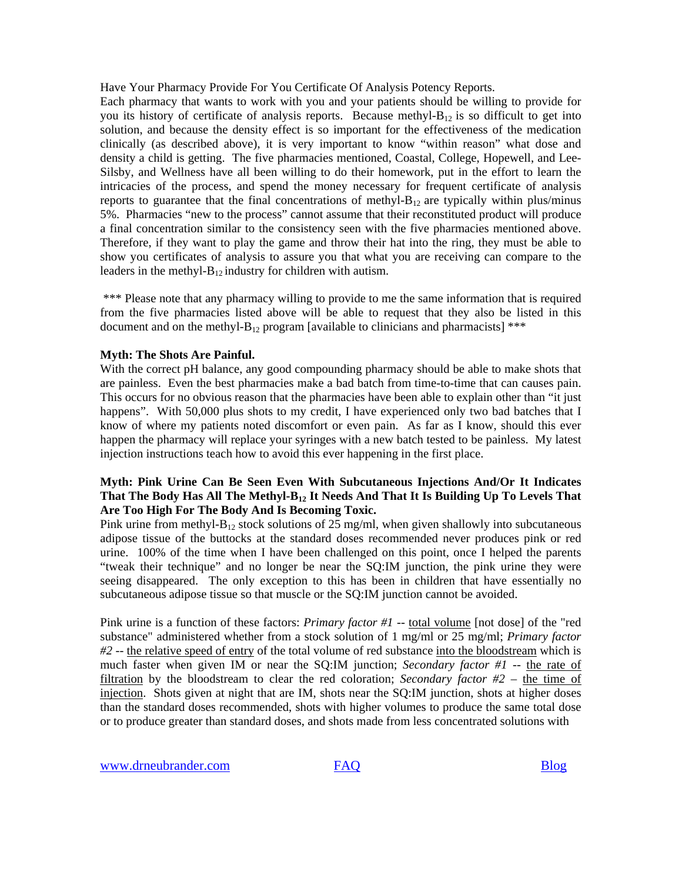Have Your Pharmacy Provide For You Certificate Of Analysis Potency Reports.

Each pharmacy that wants to work with you and your patients should be willing to provide for you its history of certificate of analysis reports. Because methyl- $B_{12}$  is so difficult to get into solution, and because the density effect is so important for the effectiveness of the medication clinically (as described above), it is very important to know "within reason" what dose and density a child is getting. The five pharmacies mentioned, Coastal, College, Hopewell, and Lee-Silsby, and Wellness have all been willing to do their homework, put in the effort to learn the intricacies of the process, and spend the money necessary for frequent certificate of analysis reports to guarantee that the final concentrations of methyl- $B_{12}$  are typically within plus/minus 5%. Pharmacies "new to the process" cannot assume that their reconstituted product will produce a final concentration similar to the consistency seen with the five pharmacies mentioned above. Therefore, if they want to play the game and throw their hat into the ring, they must be able to show you certificates of analysis to assure you that what you are receiving can compare to the leaders in the methyl- $B_{12}$  industry for children with autism.

 \*\*\* Please note that any pharmacy willing to provide to me the same information that is required from the five pharmacies listed above will be able to request that they also be listed in this document and on the methyl-B<sub>12</sub> program [available to clinicians and pharmacists] \*\*\*

#### **Myth: The Shots Are Painful.**

With the correct pH balance, any good compounding pharmacy should be able to make shots that are painless. Even the best pharmacies make a bad batch from time-to-time that can causes pain. This occurs for no obvious reason that the pharmacies have been able to explain other than "it just happens". With 50,000 plus shots to my credit, I have experienced only two bad batches that I know of where my patients noted discomfort or even pain. As far as I know, should this ever happen the pharmacy will replace your syringes with a new batch tested to be painless. My latest injection instructions teach how to avoid this ever happening in the first place.

### **Myth: Pink Urine Can Be Seen Even With Subcutaneous Injections And/Or It Indicates**  That The Body Has All The Methyl-B<sub>12</sub> It Needs And That It Is Building Up To Levels That **Are Too High For The Body And Is Becoming Toxic.**

Pink urine from methyl- $B_{12}$  stock solutions of 25 mg/ml, when given shallowly into subcutaneous adipose tissue of the buttocks at the standard doses recommended never produces pink or red urine. 100% of the time when I have been challenged on this point, once I helped the parents "tweak their technique" and no longer be near the SQ:IM junction, the pink urine they were seeing disappeared. The only exception to this has been in children that have essentially no subcutaneous adipose tissue so that muscle or the SQ:IM junction cannot be avoided.

Pink urine is a function of these factors: *Primary factor #1* -- total volume [not dose] of the "red substance" administered whether from a stock solution of 1 mg/ml or 25 mg/ml; *Primary factor #2* -- the relative speed of entry of the total volume of red substance into the bloodstream which is much faster when given IM or near the SQ:IM junction; *Secondary factor #1* -- the rate of filtration by the bloodstream to clear the red coloration; *Secondary factor #2* – the time of injection. Shots given at night that are IM, shots near the SQ:IM junction, shots at higher doses than the standard doses recommended, shots with higher volumes to produce the same total dose or to produce greater than standard doses, and shots made from less concentrated solutions with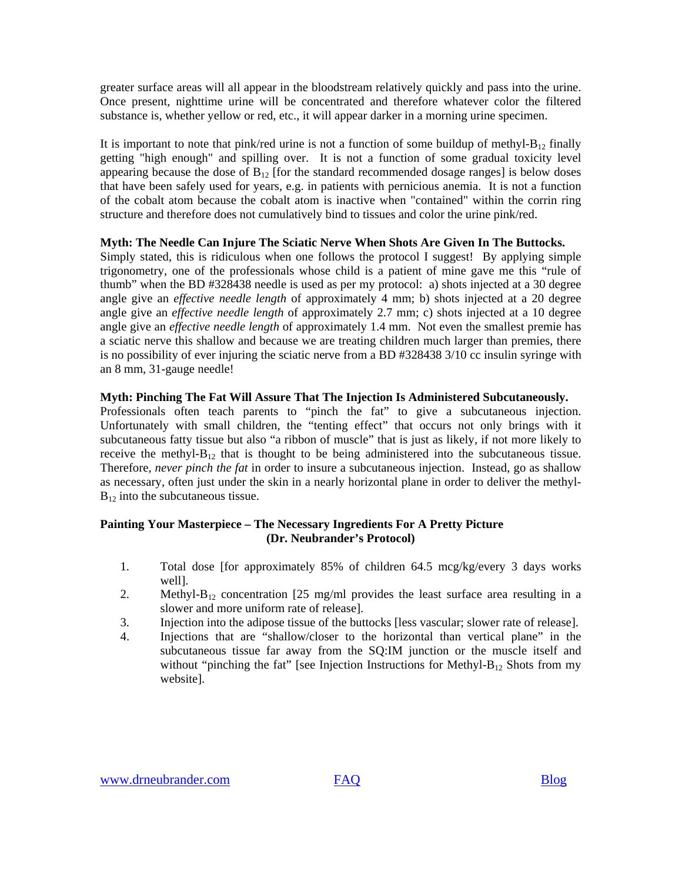greater surface areas will all appear in the bloodstream relatively quickly and pass into the urine. Once present, nighttime urine will be concentrated and therefore whatever color the filtered substance is, whether yellow or red, etc., it will appear darker in a morning urine specimen.

It is important to note that pink/red urine is not a function of some buildup of methyl- $B_{12}$  finally getting "high enough" and spilling over. It is not a function of some gradual toxicity level appearing because the dose of  $B_{12}$  [for the standard recommended dosage ranges] is below doses that have been safely used for years, e.g. in patients with pernicious anemia. It is not a function of the cobalt atom because the cobalt atom is inactive when "contained" within the corrin ring structure and therefore does not cumulatively bind to tissues and color the urine pink/red.

## **Myth: The Needle Can Injure The Sciatic Nerve When Shots Are Given In The Buttocks.**

Simply stated, this is ridiculous when one follows the protocol I suggest! By applying simple trigonometry, one of the professionals whose child is a patient of mine gave me this "rule of thumb" when the BD #328438 needle is used as per my protocol: a) shots injected at a 30 degree angle give an *effective needle length* of approximately 4 mm; b) shots injected at a 20 degree angle give an *effective needle length* of approximately 2.7 mm; c) shots injected at a 10 degree angle give an *effective needle length* of approximately 1.4 mm. Not even the smallest premie has a sciatic nerve this shallow and because we are treating children much larger than premies, there is no possibility of ever injuring the sciatic nerve from a BD #328438 3/10 cc insulin syringe with an 8 mm, 31-gauge needle!

## **Myth: Pinching The Fat Will Assure That The Injection Is Administered Subcutaneously.**

Professionals often teach parents to "pinch the fat" to give a subcutaneous injection. Unfortunately with small children, the "tenting effect" that occurs not only brings with it subcutaneous fatty tissue but also "a ribbon of muscle" that is just as likely, if not more likely to receive the methyl- $B_{12}$  that is thought to be being administered into the subcutaneous tissue. Therefore, *never pinch the fat* in order to insure a subcutaneous injection. Instead, go as shallow as necessary, often just under the skin in a nearly horizontal plane in order to deliver the methyl- $B_{12}$  into the subcutaneous tissue.

## **Painting Your Masterpiece – The Necessary Ingredients For A Pretty Picture (Dr. Neubrander's Protocol)**

- 1. Total dose [for approximately 85% of children 64.5 mcg/kg/every 3 days works well].
- 2. Methyl- $B_{12}$  concentration [25 mg/ml provides the least surface area resulting in a slower and more uniform rate of release].
- 3. Injection into the adipose tissue of the buttocks [less vascular; slower rate of release].
- 4. Injections that are "shallow/closer to the horizontal than vertical plane" in the subcutaneous tissue far away from the SQ:IM junction or the muscle itself and without "pinching the fat" [see Injection Instructions for Methyl- $B_{12}$  Shots from my website].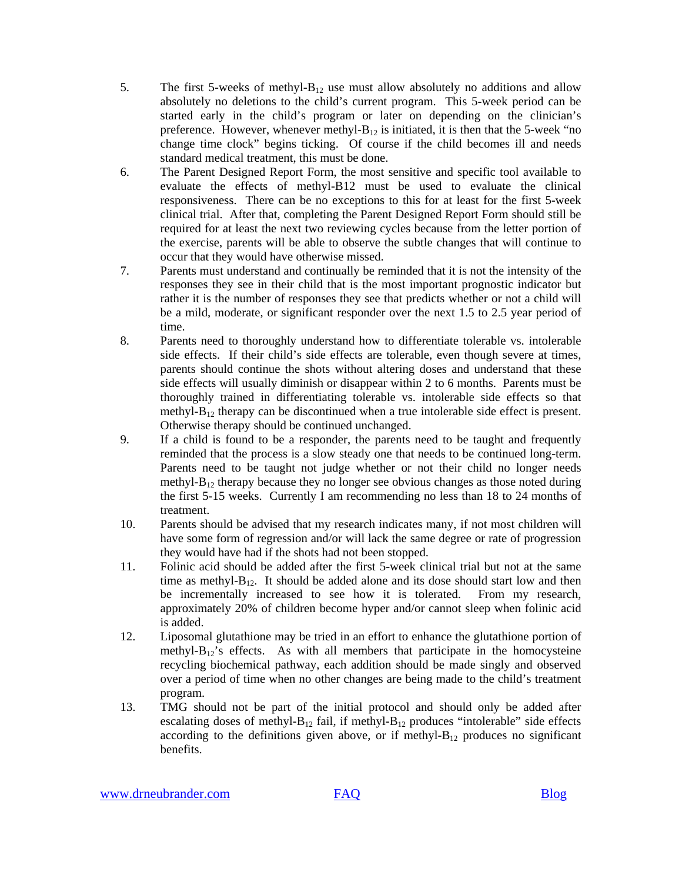- 5. The first 5-weeks of methyl- $B_{12}$  use must allow absolutely no additions and allow absolutely no deletions to the child's current program. This 5-week period can be started early in the child's program or later on depending on the clinician's preference. However, whenever methyl- $B_{12}$  is initiated, it is then that the 5-week "no change time clock" begins ticking. Of course if the child becomes ill and needs standard medical treatment, this must be done.
- 6. The Parent Designed Report Form, the most sensitive and specific tool available to evaluate the effects of methyl-B12 must be used to evaluate the clinical responsiveness. There can be no exceptions to this for at least for the first 5-week clinical trial. After that, completing the Parent Designed Report Form should still be required for at least the next two reviewing cycles because from the letter portion of the exercise, parents will be able to observe the subtle changes that will continue to occur that they would have otherwise missed.
- 7. Parents must understand and continually be reminded that it is not the intensity of the responses they see in their child that is the most important prognostic indicator but rather it is the number of responses they see that predicts whether or not a child will be a mild, moderate, or significant responder over the next 1.5 to 2.5 year period of time.
- 8. Parents need to thoroughly understand how to differentiate tolerable vs. intolerable side effects. If their child's side effects are tolerable, even though severe at times, parents should continue the shots without altering doses and understand that these side effects will usually diminish or disappear within 2 to 6 months. Parents must be thoroughly trained in differentiating tolerable vs. intolerable side effects so that methyl- $B_{12}$  therapy can be discontinued when a true intolerable side effect is present. Otherwise therapy should be continued unchanged.
- 9. If a child is found to be a responder, the parents need to be taught and frequently reminded that the process is a slow steady one that needs to be continued long-term. Parents need to be taught not judge whether or not their child no longer needs methyl- $B_{12}$  therapy because they no longer see obvious changes as those noted during the first 5-15 weeks. Currently I am recommending no less than 18 to 24 months of treatment.
- 10. Parents should be advised that my research indicates many, if not most children will have some form of regression and/or will lack the same degree or rate of progression they would have had if the shots had not been stopped.
- 11. Folinic acid should be added after the first 5-week clinical trial but not at the same time as methyl- $B_{12}$ . It should be added alone and its dose should start low and then be incrementally increased to see how it is tolerated. From my research, approximately 20% of children become hyper and/or cannot sleep when folinic acid is added.
- 12. Liposomal glutathione may be tried in an effort to enhance the glutathione portion of methyl- $B_{12}$ 's effects. As with all members that participate in the homocysteine recycling biochemical pathway, each addition should be made singly and observed over a period of time when no other changes are being made to the child's treatment program.
- 13. TMG should not be part of the initial protocol and should only be added after escalating doses of methyl- $B_{12}$  fail, if methyl- $B_{12}$  produces "intolerable" side effects according to the definitions given above, or if methyl- $B_{12}$  produces no significant benefits.